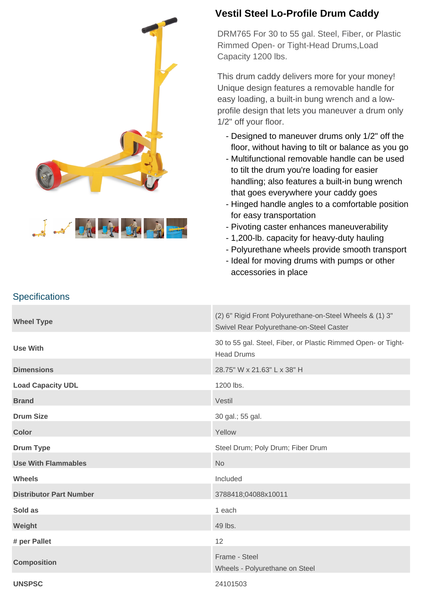



**Specifications** 

## **Vestil Steel Lo-Profile Drum Caddy**

DRM765 For 30 to 55 gal. Steel, Fiber, or Plastic Rimmed Open- or Tight-Head Drums,Load Capacity 1200 lbs.

This drum caddy delivers more for your money! Unique design features a removable handle for easy loading, a built-in bung wrench and a lowprofile design that lets you maneuver a drum only 1/2" off your floor.

- Designed to maneuver drums only 1/2" off the floor, without having to tilt or balance as you go
- Multifunctional removable handle can be used to tilt the drum you're loading for easier handling; also features a built-in bung wrench that goes everywhere your caddy goes
- Hinged handle angles to a comfortable position for easy transportation
- Pivoting caster enhances maneuverability
- 1,200-lb. capacity for heavy-duty hauling
- Polyurethane wheels provide smooth transport
- Ideal for moving drums with pumps or other accessories in place

## **Wheel Type** (2) 6" Rigid Front Polyurethane-on-Steel Wheels & (1) 3" Swivel Rear Polyurethane-on-Steel Caster **Use With** 30 to 55 gal. Steel, Fiber, or Plastic Rimmed Open- or Tight-Head Drums **Dimensions** 28.75" W x 21.63" L x 38" H Load Capacity UDL 1200 lbs. **Brand** Vestil **Drum Size** 30 gal.; 55 gal. **Color** Yellow **Color** Yellow **Drum Type Steel Drum**; Poly Drum; Fiber Drum **Use With Flammables** No **Wheels** Included **Distributor Part Number** 3788418;04088x10011 **Sold as** 1 each 2 and 2 and 2 and 2 and 2 and 2 and 2 and 2 and 2 and 2 and 2 and 2 and 2 and 2 and 2 and 2 and 2 and 2 and 2 and 2 and 2 and 2 and 2 and 2 and 2 and 2 and 2 and 2 and 2 and 2 and 2 and 2 and 2 and 2 and 2 **Weight** 49 lbs. **# per Pallet** 12 **Composition** Frame - Steel Wheels - Polyurethane on Steel **UNSPSC** 24101503